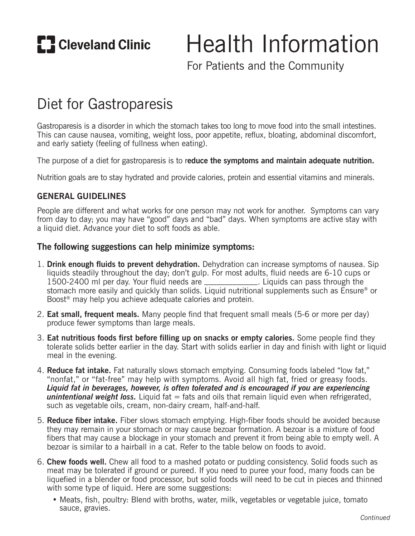**E.** Cleveland Clinic

# Health Information

For Patients and the Community

# Diet for Gastroparesis

Gastroparesis is a disorder in which the stomach takes too long to move food into the small intestines. This can cause nausea, vomiting, weight loss, poor appetite, reflux, bloating, abdominal discomfort, and early satiety (feeling of fullness when eating).

The purpose of a diet for gastroparesis is to r**educe the symptoms and maintain adequate nutrition.**

Nutrition goals are to stay hydrated and provide calories, protein and essential vitamins and minerals.

#### **GENERAL GUIDELINES**

People are different and what works for one person may not work for another. Symptoms can vary from day to day; you may have "good" days and "bad" days. When symptoms are active stay with a liquid diet. Advance your diet to soft foods as able.

#### **The following suggestions can help minimize symptoms:**

- 1. **Drink enough fluids to prevent dehydration.** Dehydration can increase symptoms of nausea. Sip liquids steadily throughout the day; don't gulp. For most adults, fluid needs are 6-10 cups or 1500-2400 ml per day. Your fluid needs are \_\_\_\_\_\_\_\_\_\_\_\_\_. Liquids can pass through the stomach more easily and quickly than solids. Liquid nutritional supplements such as Ensure® or Boost® may help you achieve adequate calories and protein.
- 2. **Eat small, frequent meals.** Many people find that frequent small meals (5-6 or more per day) produce fewer symptoms than large meals.
- 3. **Eat nutritious foods first before filling up on snacks or empty calories.** Some people find they tolerate solids better earlier in the day. Start with solids earlier in day and finish with light or liquid meal in the evening.
- 4. **Reduce fat intake.** Fat naturally slows stomach emptying. Consuming foods labeled "low fat," "nonfat," or "fat-free" may help with symptoms. Avoid all high fat, fried or greasy foods. *Liquid fat in beverages, however, is often tolerated and is encouraged if you are experiencing*  **unintentional weight loss.** Liquid fat = fats and oils that remain liquid even when refrigerated, such as vegetable oils, cream, non-dairy cream, half-and-half.
- 5. **Reduce fiber intake.** Fiber slows stomach emptying. High-fiber foods should be avoided because they may remain in your stomach or may cause bezoar formation. A bezoar is a mixture of food fibers that may cause a blockage in your stomach and prevent it from being able to empty well. A bezoar is similar to a hairball in a cat. Refer to the table below on foods to avoid.
- 6. **Chew foods well.** Chew all food to a mashed potato or pudding consistency. Solid foods such as meat may be tolerated if ground or pureed. If you need to puree your food, many foods can be liquefied in a blender or food processor, but solid foods will need to be cut in pieces and thinned with some type of liquid. Here are some suggestions:
	- Meats, fish, poultry: Blend with broths, water, milk, vegetables or vegetable juice, tomato sauce, gravies.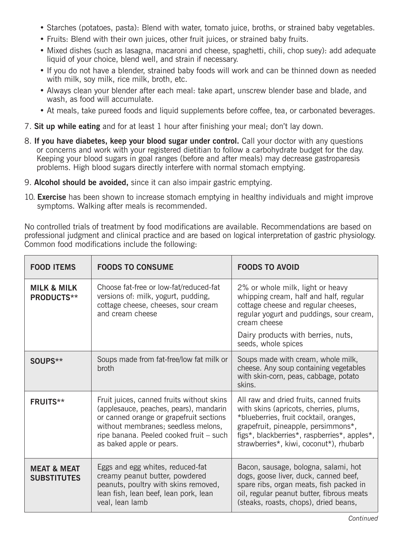- Starches (potatoes, pasta): Blend with water, tomato juice, broths, or strained baby vegetables.
- Fruits: Blend with their own juices, other fruit juices, or strained baby fruits.
- Mixed dishes (such as lasagna, macaroni and cheese, spaghetti, chili, chop suey): add adequate liquid of your choice, blend well, and strain if necessary.
- If you do not have a blender, strained baby foods will work and can be thinned down as needed with milk, soy milk, rice milk, broth, etc.
- Always clean your blender after each meal: take apart, unscrew blender base and blade, and wash, as food will accumulate.
- At meals, take pureed foods and liquid supplements before coffee, tea, or carbonated beverages.
- 7. **Sit up while eating** and for at least 1 hour after finishing your meal; don't lay down.
- 8. **If you have diabetes, keep your blood sugar under control.** Call your doctor with any questions or concerns and work with your registered dietitian to follow a carbohydrate budget for the day. Keeping your blood sugars in goal ranges (before and after meals) may decrease gastroparesis problems. High blood sugars directly interfere with normal stomach emptying.
- 9. **Alcohol should be avoided,** since it can also impair gastric emptying.
- 10. **Exercise** has been shown to increase stomach emptying in healthy individuals and might improve symptoms. Walking after meals is recommended.

No controlled trials of treatment by food modifications are available. Recommendations are based on professional judgment and clinical practice and are based on logical interpretation of gastric physiology. Common food modifications include the following:

| <b>FOOD ITEMS</b>                            | <b>FOODS TO CONSUME</b>                                                                                                                                                                                                                      | <b>FOODS TO AVOID</b>                                                                                                                                                                                                                                         |
|----------------------------------------------|----------------------------------------------------------------------------------------------------------------------------------------------------------------------------------------------------------------------------------------------|---------------------------------------------------------------------------------------------------------------------------------------------------------------------------------------------------------------------------------------------------------------|
| <b>MILK &amp; MILK</b><br><b>PRODUCTS**</b>  | Choose fat-free or low-fat/reduced-fat<br>versions of: milk, yogurt, pudding,<br>cottage cheese, cheeses, sour cream<br>and cream cheese                                                                                                     | 2% or whole milk, light or heavy<br>whipping cream, half and half, regular<br>cottage cheese and regular cheeses,<br>regular yogurt and puddings, sour cream,<br>cream cheese<br>Dairy products with berries, nuts,<br>seeds, whole spices                    |
| SOUPS**                                      | Soups made from fat-free/low fat milk or<br>broth                                                                                                                                                                                            | Soups made with cream, whole milk,<br>cheese. Any soup containing vegetables<br>with skin-corn, peas, cabbage, potato<br>skins.                                                                                                                               |
| <b>FRUITS**</b>                              | Fruit juices, canned fruits without skins<br>(applesauce, peaches, pears), mandarin<br>or canned orange or grapefruit sections<br>without membranes; seedless melons,<br>ripe banana. Peeled cooked fruit - such<br>as baked apple or pears. | All raw and dried fruits, canned fruits<br>with skins (apricots, cherries, plums,<br>*blueberries, fruit cocktail, oranges,<br>grapefruit, pineapple, persimmons*,<br>figs*, blackberries*, raspberries*, apples*,<br>strawberries*, kiwi, coconut*), rhubarb |
| <b>MEAT &amp; MEAT</b><br><b>SUBSTITUTES</b> | Eggs and egg whites, reduced-fat<br>creamy peanut butter, powdered<br>peanuts, poultry with skins removed,<br>lean fish, lean beef, lean pork, lean<br>veal, lean lamb                                                                       | Bacon, sausage, bologna, salami, hot<br>dogs, goose liver, duck, canned beef,<br>spare ribs, organ meats, fish packed in<br>oil, regular peanut butter, fibrous meats<br>(steaks, roasts, chops), dried beans,                                                |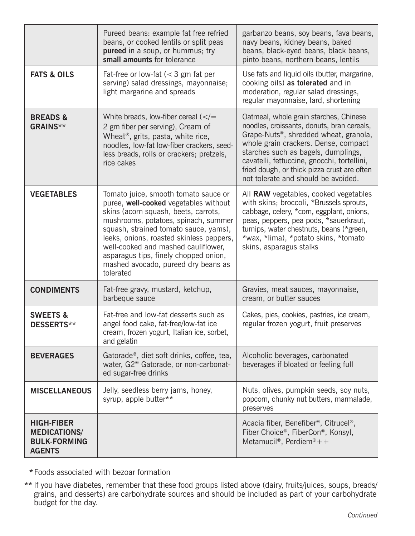|                                                                                  | Pureed beans: example fat free refried<br>beans, or cooked lentils or split peas<br>pureed in a soup, or hummus; try<br>small amounts for tolerance                                                                                                                                                                                                                                    | garbanzo beans, soy beans, fava beans,<br>navy beans, kidney beans, baked<br>beans, black-eyed beans, black beans,<br>pinto beans, northern beans, lentils                                                                                                                                                                                                     |
|----------------------------------------------------------------------------------|----------------------------------------------------------------------------------------------------------------------------------------------------------------------------------------------------------------------------------------------------------------------------------------------------------------------------------------------------------------------------------------|----------------------------------------------------------------------------------------------------------------------------------------------------------------------------------------------------------------------------------------------------------------------------------------------------------------------------------------------------------------|
| <b>FATS &amp; OILS</b>                                                           | Fat-free or low-fat $(< 3$ gm fat per<br>serving) salad dressings, mayonnaise;<br>light margarine and spreads                                                                                                                                                                                                                                                                          | Use fats and liquid oils (butter, margarine,<br>cooking oils) as tolerated and in<br>moderation, regular salad dressings,<br>regular mayonnaise, lard, shortening                                                                                                                                                                                              |
| <b>BREADS &amp;</b><br>GRAINS**                                                  | White breads, low-fiber cereal $\left\langle \ll\right\rangle =$<br>2 gm fiber per serving), Cream of<br>Wheat <sup>®</sup> , grits, pasta, white rice,<br>noodles, low-fat low-fiber crackers, seed-<br>less breads, rolls or crackers; pretzels,<br>rice cakes                                                                                                                       | Oatmeal, whole grain starches, Chinese<br>noodles, croissants, donuts, bran cereals,<br>Grape-Nuts <sup>®</sup> , shredded wheat, granola,<br>whole grain crackers. Dense, compact<br>starches such as bagels, dumplings,<br>cavatelli, fettuccine, gnocchi, tortellini,<br>fried dough, or thick pizza crust are often<br>not tolerate and should be avoided. |
| <b>VEGETABLES</b>                                                                | Tomato juice, smooth tomato sauce or<br>puree, well-cooked vegetables without<br>skins (acorn squash, beets, carrots,<br>mushrooms, potatoes, spinach, summer<br>squash, strained tomato sauce, yams),<br>leeks, onions, roasted skinless peppers,<br>well-cooked and mashed cauliflower,<br>asparagus tips, finely chopped onion,<br>mashed avocado, pureed dry beans as<br>tolerated | All RAW vegetables, cooked vegetables<br>with skins; broccoli, *Brussels sprouts,<br>cabbage, celery, *corn, eggplant, onions,<br>peas, peppers, pea pods, *sauerkraut,<br>turnips, water chestnuts, beans (*green,<br>*wax, *lima), *potato skins, *tomato<br>skins, asparagus stalks                                                                         |
| <b>CONDIMENTS</b>                                                                | Fat-free gravy, mustard, ketchup,<br>barbeque sauce                                                                                                                                                                                                                                                                                                                                    | Gravies, meat sauces, mayonnaise,<br>cream, or butter sauces                                                                                                                                                                                                                                                                                                   |
| <b>SWEETS &amp;</b><br><b>DESSERTS**</b>                                         | Fat-free and low-fat desserts such as<br>angel food cake, fat-free/low-fat ice<br>cream, frozen yogurt, Italian ice, sorbet,<br>and gelatin                                                                                                                                                                                                                                            | Cakes, pies, cookies, pastries, ice cream,<br>regular frozen yogurt, fruit preserves                                                                                                                                                                                                                                                                           |
| <b>BEVERAGES</b>                                                                 | Gatorade®, diet soft drinks, coffee, tea,<br>water, G2 <sup>®</sup> Gatorade, or non-carbonat-<br>ed sugar-free drinks                                                                                                                                                                                                                                                                 | Alcoholic beverages, carbonated<br>beverages if bloated or feeling full                                                                                                                                                                                                                                                                                        |
| <b>MISCELLANEOUS</b>                                                             | Jelly, seedless berry jams, honey,<br>syrup, apple butter**                                                                                                                                                                                                                                                                                                                            | Nuts, olives, pumpkin seeds, soy nuts,<br>popcorn, chunky nut butters, marmalade,<br>preserves                                                                                                                                                                                                                                                                 |
| <b>HIGH-FIBER</b><br><b>MEDICATIONS/</b><br><b>BULK-FORMING</b><br><b>AGENTS</b> |                                                                                                                                                                                                                                                                                                                                                                                        | Acacia fiber, Benefiber®, Citrucel®,<br>Fiber Choice®, FiberCon®, Konsyl,<br>Metamucil®, Perdiem®++                                                                                                                                                                                                                                                            |

 **\*** Foods associated with bezoar formation

**\*\*** If you have diabetes, remember that these food groups listed above (dairy, fruits/juices, soups, breads/ grains, and desserts) are carbohydrate sources and should be included as part of your carbohydrate budget for the day.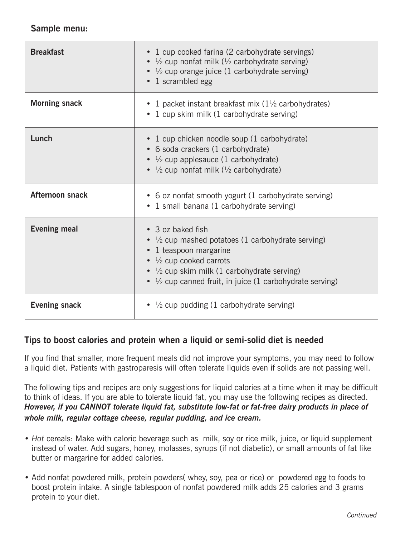## **Sample menu:**

| <b>Breakfast</b>     | • 1 cup cooked farina (2 carbohydrate servings)<br>• $\frac{1}{2}$ cup nonfat milk ( $\frac{1}{2}$ carbohydrate serving)<br>• $\frac{1}{2}$ cup orange juice (1 carbohydrate serving)<br>• 1 scrambled egg                                                                                 |
|----------------------|--------------------------------------------------------------------------------------------------------------------------------------------------------------------------------------------------------------------------------------------------------------------------------------------|
| <b>Morning snack</b> | • 1 packet instant breakfast mix $(1\frac{1}{2})$ carbohydrates)<br>• 1 cup skim milk (1 carbohydrate serving)                                                                                                                                                                             |
| Lunch                | • 1 cup chicken noodle soup (1 carbohydrate)<br>• 6 soda crackers (1 carbohydrate)<br>• $\frac{1}{2}$ cup applesauce (1 carbohydrate)<br>• $\frac{1}{2}$ cup nonfat milk ( $\frac{1}{2}$ carbohydrate)                                                                                     |
| Afternoon snack      | • 6 oz nonfat smooth yogurt (1 carbohydrate serving)<br>• 1 small banana (1 carbohydrate serving)                                                                                                                                                                                          |
| <b>Evening meal</b>  | • 3 oz baked fish<br>• $\frac{1}{2}$ cup mashed potatoes (1 carbohydrate serving)<br>• 1 teaspoon margarine<br>$\bullet$ $\frac{1}{2}$ cup cooked carrots<br>• $\frac{1}{2}$ cup skim milk (1 carbohydrate serving)<br>• $\frac{1}{2}$ cup canned fruit, in juice (1 carbohydrate serving) |
| <b>Evening snack</b> | • $\frac{1}{2}$ cup pudding (1 carbohydrate serving)                                                                                                                                                                                                                                       |

# **Tips to boost calories and protein when a liquid or semi-solid diet is needed**

If you find that smaller, more frequent meals did not improve your symptoms, you may need to follow a liquid diet. Patients with gastroparesis will often tolerate liquids even if solids are not passing well.

The following tips and recipes are only suggestions for liquid calories at a time when it may be difficult to think of ideas. If you are able to tolerate liquid fat, you may use the following recipes as directed. *However, if you CANNOT tolerate liquid fat, substitute low-fat or fat-free dairy products in place of whole milk, regular cottage cheese, regular pudding, and ice cream.*

- *Hot* cereals: Make with caloric beverage such as milk, soy or rice milk, juice, or liquid supplement instead of water. Add sugars, honey, molasses, syrups (if not diabetic), or small amounts of fat like butter or margarine for added calories.
- Add nonfat powdered milk, protein powders( whey, soy, pea or rice) or powdered egg to foods to boost protein intake. A single tablespoon of nonfat powdered milk adds 25 calories and 3 grams protein to your diet.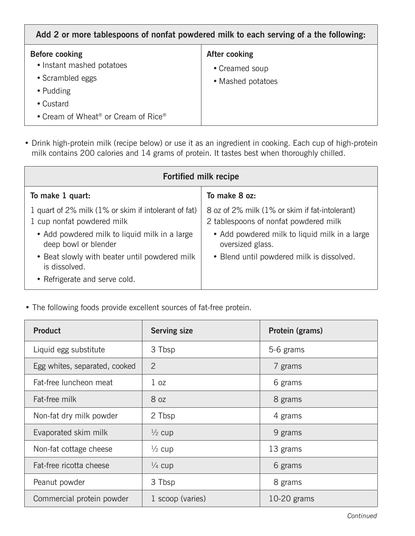| <b>Before cooking</b><br>After cooking<br>• Instant mashed potatoes<br>• Creamed soup<br>• Scrambled eggs<br>• Mashed potatoes<br>• Pudding<br>• Custard<br>• Cream of Wheat <sup>®</sup> or Cream of Rice® | Add 2 or more tablespoons of nonfat powdered milk to each serving of a the following. |  |  |
|-------------------------------------------------------------------------------------------------------------------------------------------------------------------------------------------------------------|---------------------------------------------------------------------------------------|--|--|
|                                                                                                                                                                                                             |                                                                                       |  |  |

• Drink high-protein milk (recipe below) or use it as an ingredient in cooking. Each cup of high-protein milk contains 200 calories and 14 grams of protein. It tastes best when thoroughly chilled.

| <b>Fortified milk recipe</b>                                                       |                                                                                         |  |  |  |
|------------------------------------------------------------------------------------|-----------------------------------------------------------------------------------------|--|--|--|
| To make 1 quart:                                                                   | To make 8 oz:                                                                           |  |  |  |
| 1 quart of 2% milk (1% or skim if intolerant of fat)<br>1 cup nonfat powdered milk | 8 oz of 2% milk (1% or skim if fat-intolerant)<br>2 tablespoons of nonfat powdered milk |  |  |  |
| • Add powdered milk to liquid milk in a large<br>deep bowl or blender              | • Add powdered milk to liquid milk in a large<br>oversized glass.                       |  |  |  |
| • Beat slowly with beater until powdered milk<br>is dissolved.                     | • Blend until powdered milk is dissolved.                                               |  |  |  |
| • Refrigerate and serve cold.                                                      |                                                                                         |  |  |  |

• The following foods provide excellent sources of fat-free protein.

| <b>Product</b>                | <b>Serving size</b> | Protein (grams) |
|-------------------------------|---------------------|-----------------|
| Liquid egg substitute         | 3 Tbsp              | 5-6 grams       |
| Egg whites, separated, cooked | $\overline{2}$      | 7 grams         |
| Fat-free luncheon meat        | 1 <sub>oz</sub>     | 6 grams         |
| Fat-free milk                 | 8 <sub>oz</sub>     | 8 grams         |
| Non-fat dry milk powder       | 2 Tbsp              | 4 grams         |
| Evaporated skim milk          | $\frac{1}{2}$ cup   | 9 grams         |
| Non-fat cottage cheese        | $\frac{1}{2}$ cup   | 13 grams        |
| Fat-free ricotta cheese       | $\frac{1}{4}$ cup   | 6 grams         |
| Peanut powder                 | 3 Tbsp              | 8 grams         |
| Commercial protein powder     | 1 scoop (varies)    | 10-20 grams     |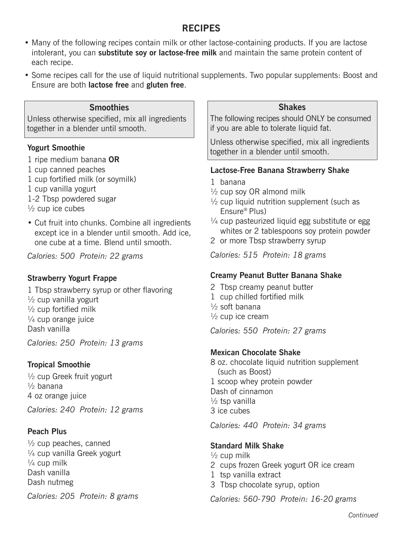# **RECIPES**

- Many of the following recipes contain milk or other lactose-containing products. If you are lactose intolerant, you can **substitute soy or lactose-free milk** and maintain the same protein content of each recipe.
- Some recipes call for the use of liquid nutritional supplements. Two popular supplements: Boost and Ensure are both **lactose free** and **gluten free**.

#### **Smoothies**

Unless otherwise specified, mix all ingredients together in a blender until smooth.

#### **Yogurt Smoothie**

- 1 ripe medium banana **OR**
- 1 cup canned peaches
- 1 cup fortified milk (or soymilk)
- 1 cup vanilla yogurt
- 1-2 Tbsp powdered sugar
- $\frac{1}{2}$  cup ice cubes
- Cut fruit into chunks. Combine all ingredients except ice in a blender until smooth. Add ice, one cube at a time. Blend until smooth.

*Calories: 500 Protein: 22 grams*

#### **Strawberry Yogurt Frappe**

1 Tbsp strawberry syrup or other flavoring  $\frac{1}{2}$  cup vanilla vogurt  $\frac{1}{2}$  cup fortified milk  $\frac{1}{4}$  cup orange juice Dash vanilla

*Calories: 250 Protein: 13 grams*

#### **Tropical Smoothie**

 $\frac{1}{2}$  cup Greek fruit yogurt  $\frac{1}{2}$  banana 4 oz orange juice *Calories: 240 Protein: 12 grams*

## **Peach Plus**

 $\frac{1}{2}$  cup peaches, canned  $\frac{1}{4}$  cup vanilla Greek yogurt  $\frac{1}{4}$  cup milk Dash vanilla Dash nutmeg

*Calories: 205 Protein: 8 grams*

#### **Shakes**

The following recipes should ONLY be consumed if you are able to tolerate liquid fat.

Unless otherwise specified, mix all ingredients together in a blender until smooth.

#### **Lactose-Free Banana Strawberry Shake**

- 1 banana
- $\frac{1}{2}$  cup soy OR almond milk
- $\frac{1}{2}$  cup liquid nutrition supplement (such as Ensure® Plus)
- $\frac{1}{4}$  cup pasteurized liquid egg substitute or egg whites or 2 tablespoons soy protein powder
- 2 or more Tbsp strawberry syrup

*Calories: 515 Protein: 18 grams*

#### **Creamy Peanut Butter Banana Shake**

- 2 Tbsp creamy peanut butter
- 1 cup chilled fortified milk
- $\frac{1}{2}$  soft banana
- $\frac{1}{2}$  cup ice cream

*Calories: 550 Protein: 27 grams*

#### **Mexican Chocolate Shake**

8 oz. chocolate liquid nutrition supplement (such as Boost) 1 scoop whey protein powder Dash of cinnamon  $\frac{1}{2}$  tsp vanilla 3 ice cubes

*Calories: 440 Protein: 34 grams*

#### **Standard Milk Shake**

- $\frac{1}{2}$  cup milk 2 cups frozen Greek yogurt OR ice cream 1 tsp vanilla extract
- 3 Tbsp chocolate syrup, option

*Calories: 560-790 Protein: 16-20 grams*